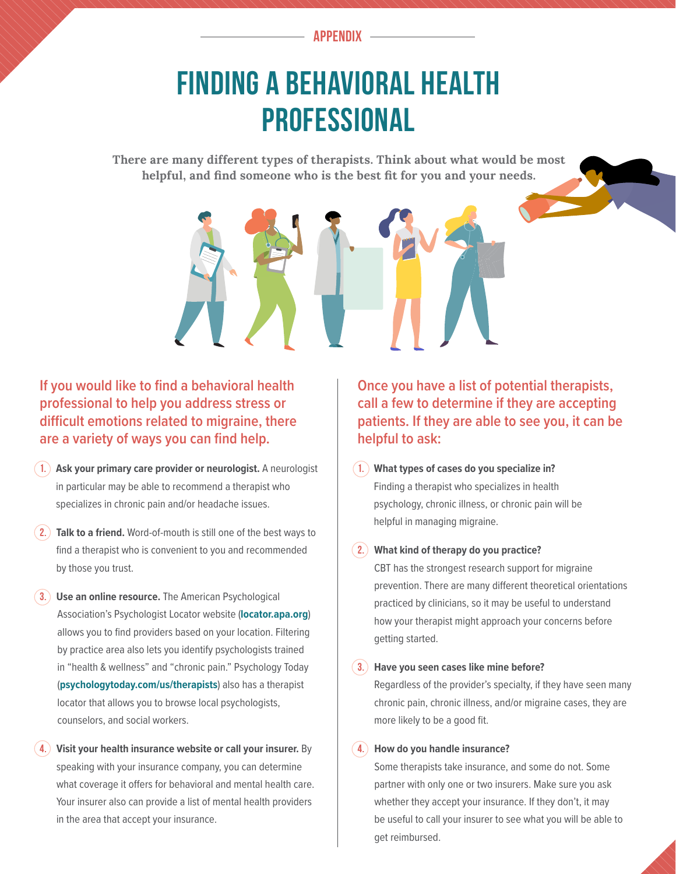**APPENDIX**

## FINDING A BEHAVIORAL HEALTH PROFESSIONAL

**There are many different types of therapists. Think about what would be most helpful, and find someone who is the best fit for you and your needs.** 



- **1. Ask your primary care provider or neurologist.** A neurologist in particular may be able to recommend a therapist who specializes in chronic pain and/or headache issues.
- **2. Talk to a friend.** Word-of-mouth is still one of the best ways to find a therapist who is convenient to you and recommended by those you trust.
- **3. Use an online resource.** The American Psychological Association's Psychologist Locator website (**[locator.apa.org](http://locator.apa.org)**) allows you to find providers based on your location. Filtering by practice area also lets you identify psychologists trained in "health & wellness" and "chronic pain." Psychology Today (**[psychologytoday.com/us/therapists](http://psychologytoday.com/us/therapists)**) also has a therapist locator that allows you to browse local psychologists, counselors, and social workers.
- **4. Visit your health insurance website or call your insurer.** By speaking with your insurance company, you can determine what coverage it offers for behavioral and mental health care. Your insurer also can provide a list of mental health providers in the area that accept your insurance.

**Once you have a list of potential therapists, call a few to determine if they are accepting patients. If they are able to see you, it can be helpful to ask:**

**1. What types of cases do you specialize in?** Finding a therapist who specializes in health psychology, chronic illness, or chronic pain will be helpful in managing migraine.

#### **2. What kind of therapy do you practice?**

CBT has the strongest research support for migraine prevention. There are many different theoretical orientations practiced by clinicians, so it may be useful to understand how your therapist might approach your concerns before getting started.

### **3. Have you seen cases like mine before?**

Regardless of the provider's specialty, if they have seen many chronic pain, chronic illness, and/or migraine cases, they are more likely to be a good fit.

### **4. How do you handle insurance?**

Some therapists take insurance, and some do not. Some partner with only one or two insurers. Make sure you ask whether they accept your insurance. If they don't, it may be useful to call your insurer to see what you will be able to get reimbursed.